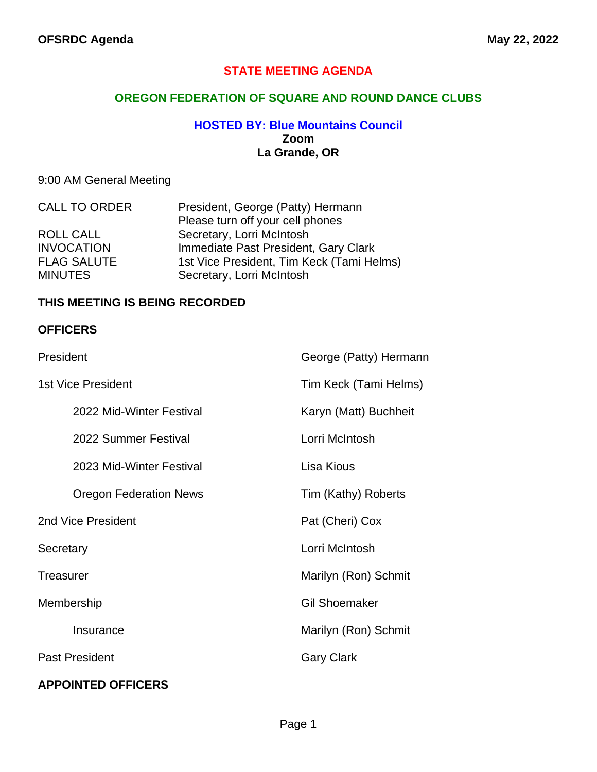## **STATE MEETING AGENDA**

## **OREGON FEDERATION OF SQUARE AND ROUND DANCE CLUBS**

#### **HOSTED BY: Blue Mountains Council Zoom La Grande, OR**

## 9:00 AM General Meeting

| <b>CALL TO ORDER</b> | President, George (Patty) Hermann         |  |
|----------------------|-------------------------------------------|--|
|                      | Please turn off your cell phones          |  |
| ROLL CALL            | Secretary, Lorri McIntosh                 |  |
| <b>INVOCATION</b>    | Immediate Past President, Gary Clark      |  |
| <b>FLAG SALUTE</b>   | 1st Vice President, Tim Keck (Tami Helms) |  |
| <b>MINUTES</b>       | Secretary, Lorri McIntosh                 |  |

#### **THIS MEETING IS BEING RECORDED**

#### **OFFICERS**

| President                     | George (Patty) Hermann |
|-------------------------------|------------------------|
| <b>1st Vice President</b>     | Tim Keck (Tami Helms)  |
| 2022 Mid-Winter Festival      | Karyn (Matt) Buchheit  |
| 2022 Summer Festival          | Lorri McIntosh         |
| 2023 Mid-Winter Festival      | Lisa Kious             |
| <b>Oregon Federation News</b> | Tim (Kathy) Roberts    |
| 2nd Vice President            | Pat (Cheri) Cox        |
| Secretary                     | Lorri McIntosh         |
| Treasurer                     | Marilyn (Ron) Schmit   |
| Membership                    | <b>Gil Shoemaker</b>   |
| Insurance                     | Marilyn (Ron) Schmit   |
| <b>Past President</b>         | <b>Gary Clark</b>      |
| <b>APPOINTED OFFICERS</b>     |                        |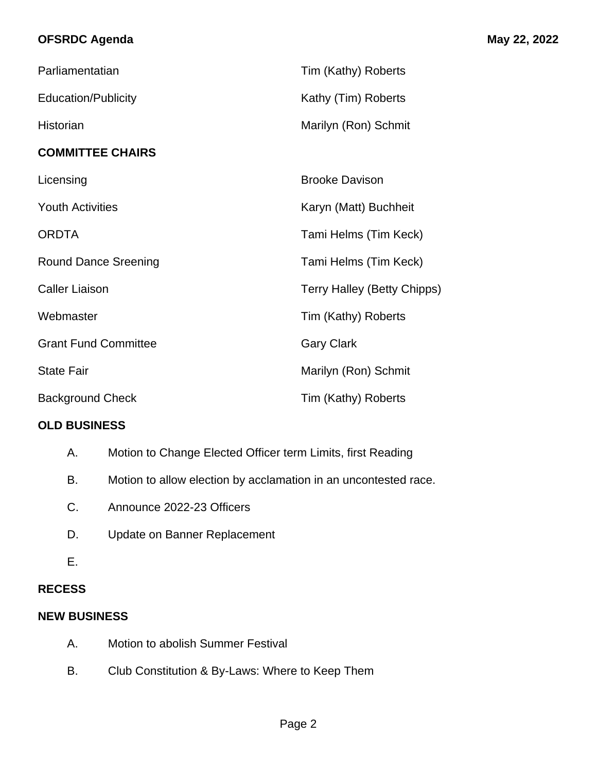# **OFSRDC Agenda May 22, 2022**

| Parliamentatian             | Tim (Kathy) Roberts                |
|-----------------------------|------------------------------------|
| <b>Education/Publicity</b>  | Kathy (Tim) Roberts                |
| Historian                   | Marilyn (Ron) Schmit               |
| <b>COMMITTEE CHAIRS</b>     |                                    |
| Licensing                   | <b>Brooke Davison</b>              |
| <b>Youth Activities</b>     | Karyn (Matt) Buchheit              |
| <b>ORDTA</b>                | Tami Helms (Tim Keck)              |
| <b>Round Dance Sreening</b> | Tami Helms (Tim Keck)              |
| <b>Caller Liaison</b>       | <b>Terry Halley (Betty Chipps)</b> |
| Webmaster                   | Tim (Kathy) Roberts                |
| <b>Grant Fund Committee</b> | <b>Gary Clark</b>                  |
| <b>State Fair</b>           | Marilyn (Ron) Schmit               |
| <b>Background Check</b>     | Tim (Kathy) Roberts                |

## **OLD BUSINESS**

- A. Motion to Change Elected Officer term Limits, first Reading
- B. Motion to allow election by acclamation in an uncontested race.
- C. Announce 2022-23 Officers
- D. Update on Banner Replacement
- E.

## **RECESS**

## **NEW BUSINESS**

- A. Motion to abolish Summer Festival
- B. Club Constitution & By-Laws: Where to Keep Them